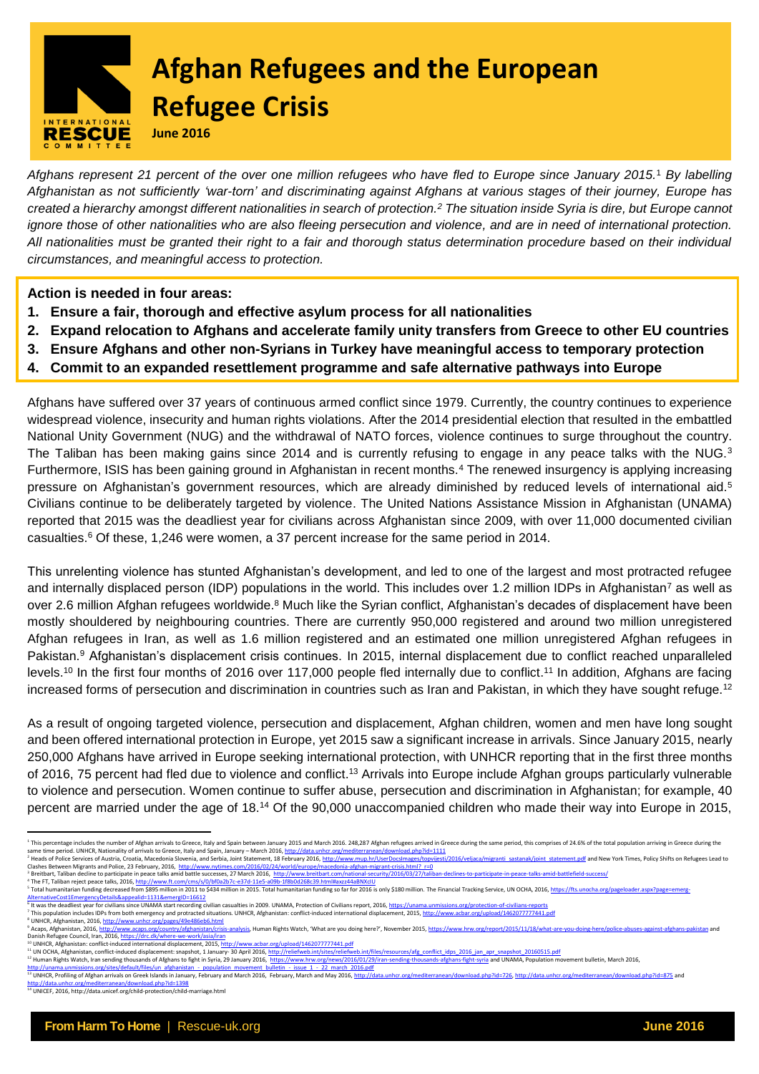

# **Afghan Refugees and the European Refugee Crisis**

**June 2016**

*Afghans represent 21 percent of the over one million refugees who have fled to Europe since January 2015.* <sup>1</sup> *By labelling Afghanistan as not sufficiently 'war-torn' and discriminating against Afghans at various stages of their journey, Europe has created a hierarchy amongst different nationalities in search of protection. <sup>2</sup> The situation inside Syria is dire, but Europe cannot ignore those of other nationalities who are also fleeing persecution and violence, and are in need of international protection. All nationalities must be granted their right to a fair and thorough status determination procedure based on their individual circumstances, and meaningful access to protection.*

**Action is needed in four areas:**

- **1. Ensure a fair, thorough and effective asylum process for all nationalities**
- **2. Expand relocation to Afghans and accelerate family unity transfers from Greece to other EU countries**
- **3. Ensure Afghans and other non-Syrians in Turkey have meaningful access to temporary protection**
- **4. Commit to an expanded resettlement programme and safe alternative pathways into Europe**

Afghans have suffered over 37 years of continuous armed conflict since 1979. Currently, the country continues to experience widespread violence, insecurity and human rights violations. After the 2014 presidential election that resulted in the embattled National Unity Government (NUG) and the withdrawal of NATO forces, violence continues to surge throughout the country. The Taliban has been making gains since 2014 and is currently refusing to engage in any peace talks with the NUG.<sup>3</sup> Furthermore, ISIS has been gaining ground in Afghanistan in recent months.<sup>4</sup> The renewed insurgency is applying increasing pressure on Afghanistan's government resources, which are already diminished by reduced levels of international aid.<sup>5</sup> Civilians continue to be deliberately targeted by violence. The United Nations Assistance Mission in Afghanistan (UNAMA) reported that 2015 was the deadliest year for civilians across Afghanistan since 2009, with over 11,000 documented civilian casualties.<sup>6</sup> Of these, 1,246 were women, a 37 percent increase for the same period in 2014.

This unrelenting violence has stunted Afghanistan's development, and led to one of the largest and most protracted refugee and internally displaced person (IDP) populations in the world. This includes over 1.2 million IDPs in Afghanistan<sup>7</sup> as well as over 2.6 million Afghan refugees worldwide.<sup>8</sup> Much like the Syrian conflict, Afghanistan's decades of displacement have been mostly shouldered by neighbouring countries. There are currently 950,000 registered and around two million unregistered Afghan refugees in Iran, as well as 1.6 million registered and an estimated one million unregistered Afghan refugees in Pakistan.<sup>9</sup> Afghanistan's displacement crisis continues. In 2015, internal displacement due to conflict reached unparalleled levels.<sup>10</sup> In the first four months of 2016 over 117,000 people fled internally due to conflict.<sup>11</sup> In addition, Afghans are facing increased forms of persecution and discrimination in countries such as Iran and Pakistan, in which they have sought refuge.<sup>12</sup>

As a result of ongoing targeted violence, persecution and displacement, Afghan children, women and men have long sought and been offered international protection in Europe, yet 2015 saw a significant increase in arrivals. Since January 2015, nearly 250,000 Afghans have arrived in Europe seeking international protection, with UNHCR reporting that in the first three months of 2016, 75 percent had fled due to violence and conflict.<sup>13</sup> Arrivals into Europe include Afghan groups particularly vulnerable to violence and persecution. Women continue to suffer abuse, persecution and discrimination in Afghanistan; for example, 40 percent are married under the age of 18.<sup>14</sup> Of the 90,000 unaccompanied children who made their way into Europe in 2015,

 $\overline{a}$ This percentage includes the number of Afghan arrivals to Greece, Italy and Spain between January 2015 and March 2016. 248,287 Afghan refugees arrived in Greece during the same period, this comprises of 24.6% of the total same time period. UNHCR, Nationality of arrivals to Greece, Italy and Spain, January – March 2016, <u>http://data.unhcr.org/mediterranear/download.php?id=1111</u><br>? Heads of Police Services of Austria, Croatia, Modelonia Slopen

[AlternativeCost1EmergencyDetails&appealid=1131&emergID=16612](https://fts.unocha.org/pageloader.aspx?page=emerg-AlternativeCost1EmergencyDetails&appealid=1131&emergID=16612)<br><sup>6</sup> It was the deadliest year for civilians since UNAMA stratection and the stratection of Civilians report, 2016, <u>https://unama.unmissions.org/protection-of-ci</u>

<sup>&</sup>lt;sup>8</sup> UNHCR, Afghanistan, 201[6, http://www.unhcr.org/pages/49e486eb6.html](http://www.unhcr.org/pages/49e486eb6.html)<br><sup>9</sup> Acaps. Afghanistan. 2016. http://www.acaps.org/country/afghanistan/crisi -analysis. Human Rights Watch. 'What are you doing here?'. November 2015. <https://www.hrw.org/report/2015/11/18/what-are-you-doing-here/police-abuses-against-afghans-pakistan> and Danish Refugee Council, Iran, 2016, <u>https://drc.dk/where-we-work/asia/iran</u><br><sup>10</sup> UNHCR, Afghanistan: conflict-induced international displacement, 2015, <u>http://www.acbar.org/upload/1462077777441.pdf</u>

<sup>&</sup>lt;sup>11</sup> UN OCHA, Afghanistan, conflict-induced displacement: snapshot, 1 January- 30 April 2016, <u>http://reliefweb.int/sites/reliefweb.int/files/resources/afg\_conflict\_idps\_2016\_jan\_apr\_smapshot\_20160515.pdf<br>http://unama.unmi</u>

http<u>://data.unhcr.org/mediterranean/download.php?id=1398</u><br><sup>14</sup> UNICEF, 2016, http://data.unicef.org/child-protection/child-marriage.html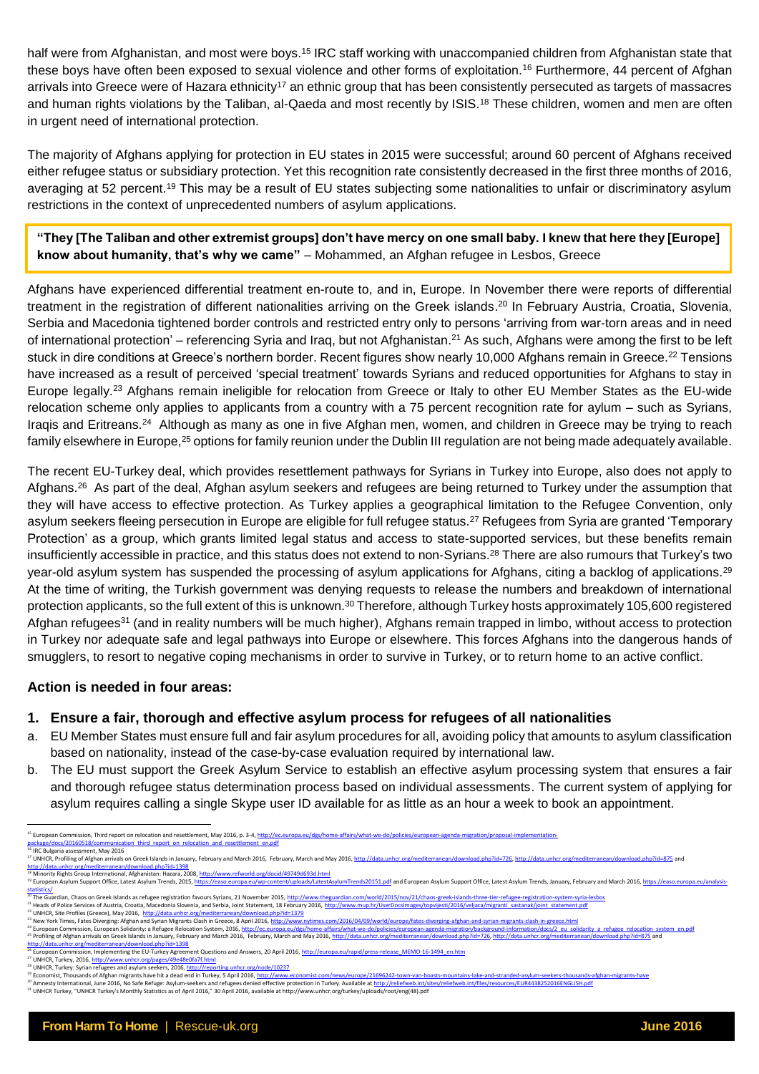half were from Afghanistan, and most were boys.<sup>15</sup> IRC staff working with unaccompanied children from Afghanistan state that these boys have often been exposed to sexual violence and other forms of exploitation.<sup>16</sup> Furthermore, 44 percent of Afghan arrivals into Greece were of Hazara ethnicity<sup>17</sup> an ethnic group that has been consistently persecuted as targets of massacres and human rights violations by the Taliban, al-Qaeda and most recently by ISIS.<sup>18</sup> These children, women and men are often in urgent need of international protection.

The majority of Afghans applying for protection in EU states in 2015 were successful; around 60 percent of Afghans received either refugee status or subsidiary protection. Yet this recognition rate consistently decreased in the first three months of 2016, averaging at 52 percent.<sup>19</sup> This may be a result of EU states subjecting some nationalities to unfair or discriminatory asylum restrictions in the context of unprecedented numbers of asylum applications.

**"They [The Taliban and other extremist groups] don't have mercy on one small baby. I knew that here they [Europe] know about humanity, that's why we came"** – Mohammed, an Afghan refugee in Lesbos, Greece

Afghans have experienced differential treatment en-route to, and in, Europe. In November there were reports of differential treatment in the registration of different nationalities arriving on the Greek islands.<sup>20</sup> In February Austria, Croatia, Slovenia, Serbia and Macedonia tightened border controls and restricted entry only to persons 'arriving from war-torn areas and in need of international protection' – referencing Syria and Iraq, but not Afghanistan.<sup>21</sup> As such, Afghans were among the first to be left stuck in dire conditions at Greece's northern border. Recent figures show nearly 10,000 Afghans remain in Greece.<sup>22</sup> Tensions have increased as a result of perceived 'special treatment' towards Syrians and reduced opportunities for Afghans to stay in Europe legally.<sup>23</sup> Afghans remain ineligible for relocation from Greece or Italy to other EU Member States as the EU-wide relocation scheme only applies to applicants from a country with a 75 percent recognition rate for aylum - such as Syrians, Iraqis and Eritreans.<sup>24</sup> Although as many as one in five Afghan men, women, and children in Greece may be trying to reach family elsewhere in Europe,<sup>25</sup> options for family reunion under the Dublin III regulation are not being made adequately available.

The recent EU-Turkey deal, which provides resettlement pathways for Syrians in Turkey into Europe, also does not apply to Afghans.<sup>26</sup> As part of the deal, Afghan asylum seekers and refugees are being returned to Turkey under the assumption that they will have access to effective protection. As Turkey applies a geographical limitation to the Refugee Convention, only asylum seekers fleeing persecution in Europe are eligible for full refugee status.<sup>27</sup> Refugees from Syria are granted 'Temporary Protection' as a group, which grants limited legal status and access to state-supported services, but these benefits remain insufficiently accessible in practice, and this status does not extend to non-Syrians.<sup>28</sup> There are also rumours that Turkey's two year-old asylum system has suspended the processing of asylum applications for Afghans, citing a backlog of applications.<sup>29</sup> At the time of writing, the Turkish government was denying requests to release the numbers and breakdown of international protection applicants, so the full extent of this is unknown.<sup>30</sup> Therefore, although Turkey hosts approximately 105,600 registered Afghan refugees<sup>31</sup> (and in reality numbers will be much higher), Afghans remain trapped in limbo, without access to protection in Turkey nor adequate safe and legal pathways into Europe or elsewhere. This forces Afghans into the dangerous hands of smugglers, to resort to negative coping mechanisms in order to survive in Turkey, or to return home to an active conflict.

#### **Action is needed in four areas:**

- **1. Ensure a fair, thorough and effective asylum process for refugees of all nationalities**
- a. EU Member States must ensure full and fair asylum procedures for all, avoiding policy that amounts to asylum classification based on nationality, instead of the case-by-case evaluation required by international law.
- b. The EU must support the Greek Asylum Service to establish an effective asylum processing system that ensures a fair and thorough refugee status determination process based on individual assessments. The current system of applying for asylum requires calling a single Skype user ID available for as little as an hour a week to book an appointment.

<sup>15</sup> European Commission, Third report on relocation and resettlement, May 2016, p. 3-[4, http://ec.europa.eu/dgs/home-affairs/what-we-do/policies/european-agenda-migration/proposal-implementation-](http://ec.europa.eu/dgs/home-affairs/what-we-do/policies/european-agenda-migration/proposal-implementation-package/docs/20160518/communication_third_report_on_relocation_and_resettlement_en.pdf)

[package/docs/20160518/communication\\_third\\_report\\_on\\_relocation\\_and\\_resettlement\\_en.pdf](http://ec.europa.eu/dgs/home-affairs/what-we-do/policies/european-agenda-migration/proposal-implementation-package/docs/20160518/communication_third_report_on_relocation_and_resettlement_en.pdf)<br><sup>16</sup> IRC Bulgaria assessment, May 2016

n we*xu*ngan waxsaankun, way zazu<br><sup>27</sup> UNHCR, Profiling of Afghan arrivals on Greek Islands in January, February and March 2016, February, March and May 2016, <u>http://data.unhcr.org/mediterranean/download.php?id=726, http:</u>

<http://data.unhcr.org/mediterranean/download.php?id=1398><br><sup>18</sup> Minority Rights Group International, Afghanistan: Hazara, 2008, <u>http://www.refworld.org/docid/49749d693d.html</u>

<sup>&</sup>lt;sup>19</sup> European Asylum Support Office, Latest Asylum Trends, 201[5, https://easo.europa.eu/wp-content/uploads/LatestAsylumTrends20151.pdf](https://easo.europa.eu/wp-content/uploads/LatestAsylumTrends20151.pdf) and European Asylum Support Office, Latest Asylum Trends, January, February and March 2

[statistics/](https://easo.europa.eu/analysis-statistics/)<br><sup>20</sup> The Guardian, Chaos on Greek Islands as refugee registration favours Syrians, 21 November 2015, <u>http://www.theguardian.com/world/2015/nov/21/chaos-greek-islands-three-tier-refugee-registration-system-syri</u> 25 Profiling of Afghan arrivals on Greek Islands in January, February and March 2016. February, March and May 2016. http://data.unhcr.org/mediterranean/download.php?id=726. http://data.unhcr.org/mediterranean/download.php?

<http://data.unhcr.org/mediterranean/download.php?id=1398><br><sup>26</sup> European Commission, Implementing the EU-Turkey Agreem 26 European Commission, Implementing the EU-Turkey Agreement Questions and Answers, 20 April 2016, [http://europa.eu/rapid/press-release\\_MEMO-16-1494\\_en.htm](http://europa.eu/rapid/press-release_MEMO-16-1494_en.htm)l

UNHCR, Turkey, 2016, http://

<sup>28</sup> UNHCR, Turkey: Syrian refugees and asylum seekers, 201[6, http://reporting.unhcr.org/node/10237](http://reporting.unhcr.org/node/10237)

<sup>&</sup>lt;sup>9</sup> Economist, Thousands of Afghan migrants have hit a dead end in Turkey, 5 April 2016, <u>http://www.economist.com/news/europe/21696242-town-van-boasts-mountains-lake-and-stranded-asylum-seekers-thousands-afghan-migrants-h</u> <sup>30</sup> Amnesty International, June 2016, No Safe Refuge: Asylum-seekers and refugees denied effective protection in Turkey. Available at <u>http://reliefweb.int/sites/reliefweb.int/files/resources/EUR4438252016ENGLISH.pdf</u><br><sup>31</sup>